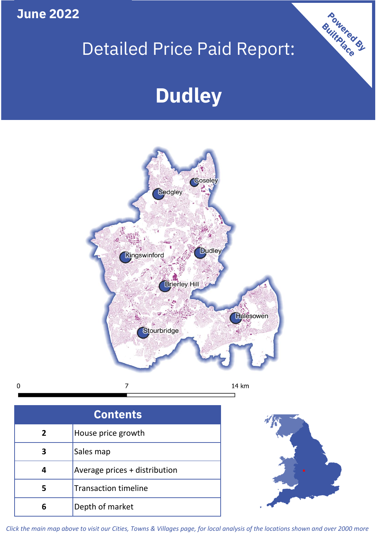**June 2022**

 $\mathbf 0$ 

# Detailed Price Paid Report:

# **Dudley**



| <b>Contents</b> |                               |  |  |
|-----------------|-------------------------------|--|--|
| 2               | House price growth            |  |  |
|                 | Sales map                     |  |  |
|                 | Average prices + distribution |  |  |
| 5               | <b>Transaction timeline</b>   |  |  |
|                 | Depth of market               |  |  |



Powered By

*Click the main map above to visit our Cities, Towns & Villages page, for local analysis of the locations shown and over 2000 more*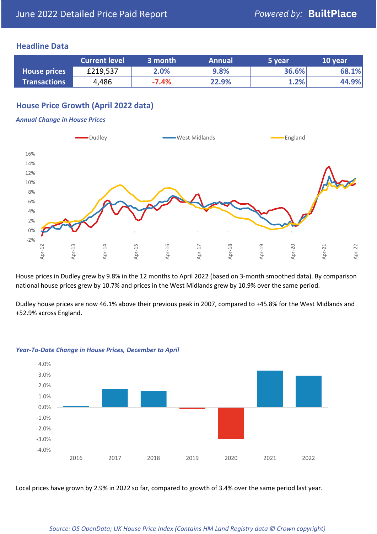## **Headline Data**

|                     | <b>Current level</b> | 3 month | <b>Annual</b> | 5 year | 10 year |
|---------------------|----------------------|---------|---------------|--------|---------|
| <b>House prices</b> | £219,537             | 2.0%    | 9.8%          | 36.6%  | 68.1%   |
| <b>Transactions</b> | 4,486                | $-7.4%$ | 22.9%         | 1.2%   | 44.9%   |

# **House Price Growth (April 2022 data)**

#### *Annual Change in House Prices*



House prices in Dudley grew by 9.8% in the 12 months to April 2022 (based on 3-month smoothed data). By comparison national house prices grew by 10.7% and prices in the West Midlands grew by 10.9% over the same period.

Dudley house prices are now 46.1% above their previous peak in 2007, compared to +45.8% for the West Midlands and +52.9% across England.



#### *Year-To-Date Change in House Prices, December to April*

Local prices have grown by 2.9% in 2022 so far, compared to growth of 3.4% over the same period last year.

#### *Source: OS OpenData; UK House Price Index (Contains HM Land Registry data © Crown copyright)*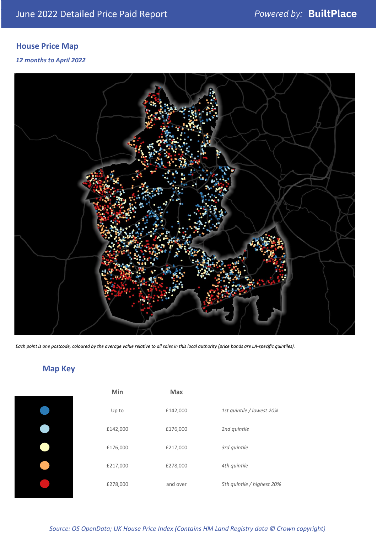# **House Price Map**

#### *12 months to April 2022*



*Each point is one postcode, coloured by the average value relative to all sales in this local authority (price bands are LA-specific quintiles).*

**Map Key**

| Min      | <b>Max</b> |                            |
|----------|------------|----------------------------|
| Up to    | £142,000   | 1st quintile / lowest 20%  |
| £142,000 | £176,000   | 2nd quintile               |
| £176,000 | £217,000   | 3rd quintile               |
| £217,000 | £278,000   | 4th quintile               |
| £278,000 | and over   | 5th quintile / highest 20% |

#### *Source: OS OpenData; UK House Price Index (Contains HM Land Registry data © Crown copyright)*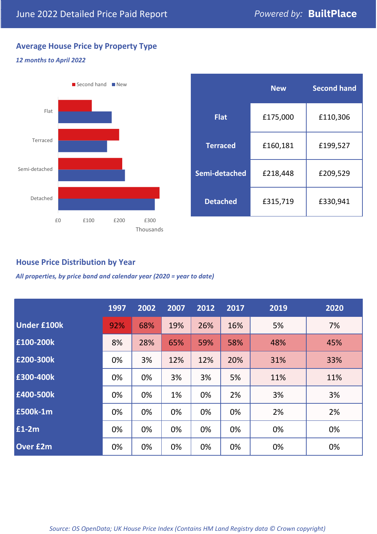# **Average House Price by Property Type**

### *12 months to April 2022*



|                 | <b>New</b> | <b>Second hand</b> |  |  |
|-----------------|------------|--------------------|--|--|
| <b>Flat</b>     | £175,000   | £110,306           |  |  |
| <b>Terraced</b> | £160,181   | £199,527           |  |  |
| Semi-detached   | £218,448   | £209,529           |  |  |
| <b>Detached</b> | £315,719   | £330,941           |  |  |

# **House Price Distribution by Year**

*All properties, by price band and calendar year (2020 = year to date)*

|                    | 1997 | 2002 | 2007 | 2012 | 2017 | 2019 | 2020 |
|--------------------|------|------|------|------|------|------|------|
| <b>Under £100k</b> | 92%  | 68%  | 19%  | 26%  | 16%  | 5%   | 7%   |
| £100-200k          | 8%   | 28%  | 65%  | 59%  | 58%  | 48%  | 45%  |
| E200-300k          | 0%   | 3%   | 12%  | 12%  | 20%  | 31%  | 33%  |
| £300-400k          | 0%   | 0%   | 3%   | 3%   | 5%   | 11%  | 11%  |
| £400-500k          | 0%   | 0%   | 1%   | 0%   | 2%   | 3%   | 3%   |
| <b>£500k-1m</b>    | 0%   | 0%   | 0%   | 0%   | 0%   | 2%   | 2%   |
| £1-2m              | 0%   | 0%   | 0%   | 0%   | 0%   | 0%   | 0%   |
| <b>Over £2m</b>    | 0%   | 0%   | 0%   | 0%   | 0%   | 0%   | 0%   |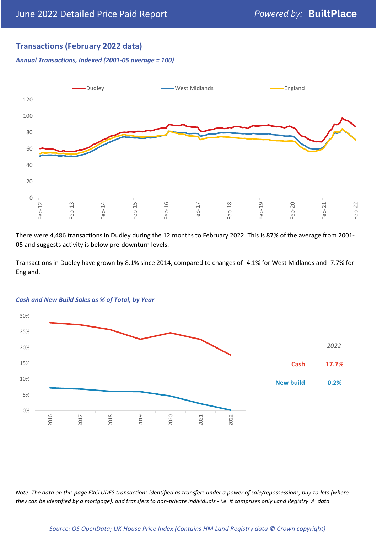# **Transactions (February 2022 data)**

*Annual Transactions, Indexed (2001-05 average = 100)*



There were 4,486 transactions in Dudley during the 12 months to February 2022. This is 87% of the average from 2001- 05 and suggests activity is below pre-downturn levels.

Transactions in Dudley have grown by 8.1% since 2014, compared to changes of -4.1% for West Midlands and -7.7% for England.



#### *Cash and New Build Sales as % of Total, by Year*

*Note: The data on this page EXCLUDES transactions identified as transfers under a power of sale/repossessions, buy-to-lets (where they can be identified by a mortgage), and transfers to non-private individuals - i.e. it comprises only Land Registry 'A' data.*